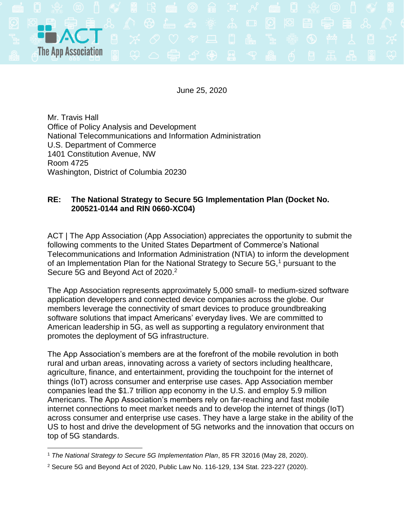

June 25, 2020

Mr. Travis Hall Office of Policy Analysis and Development National Telecommunications and Information Administration U.S. Department of Commerce 1401 Constitution Avenue, NW Room 4725 Washington, District of Columbia 20230

## **RE: The National Strategy to Secure 5G Implementation Plan (Docket No. 200521-0144 and RIN 0660-XC04)**

ACT | The App Association (App Association) appreciates the opportunity to submit the following comments to the United States Department of Commerce's National Telecommunications and Information Administration (NTIA) to inform the development of an Implementation Plan for the National Strategy to Secure 5G,<sup>1</sup> pursuant to the Secure 5G and Beyond Act of 2020.<sup>2</sup>

The App Association represents approximately 5,000 small- to medium-sized software application developers and connected device companies across the globe. Our members leverage the connectivity of smart devices to produce groundbreaking software solutions that impact Americans' everyday lives. We are committed to American leadership in 5G, as well as supporting a regulatory environment that promotes the deployment of 5G infrastructure.

The App Association's members are at the forefront of the mobile revolution in both rural and urban areas, innovating across a variety of sectors including healthcare, agriculture, finance, and entertainment, providing the touchpoint for the internet of things (IoT) across consumer and enterprise use cases. App Association member companies lead the \$1.7 trillion app economy in the U.S. and employ 5.9 million Americans. The App Association's members rely on far-reaching and fast mobile internet connections to meet market needs and to develop the internet of things (IoT) across consumer and enterprise use cases. They have a large stake in the ability of the US to host and drive the development of 5G networks and the innovation that occurs on top of 5G standards.

<sup>1</sup> *The National Strategy to Secure 5G Implementation Plan*, 85 FR 32016 (May 28, 2020).

<sup>2</sup> Secure 5G and Beyond Act of 2020, Public Law No. 116-129, 134 Stat. 223-227 (2020).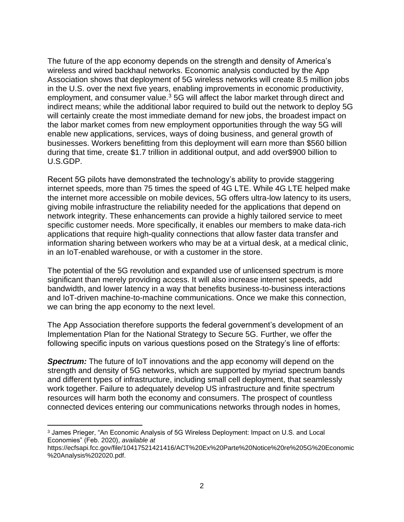The future of the app economy depends on the strength and density of America's wireless and wired backhaul networks. Economic analysis conducted by the App Association shows that deployment of 5G wireless networks will create 8.5 million jobs in the U.S. over the next five years, enabling improvements in economic productivity, employment, and consumer value.<sup>3</sup> 5G will affect the labor market through direct and indirect means; while the additional labor required to build out the network to deploy 5G will certainly create the most immediate demand for new jobs, the broadest impact on the labor market comes from new employment opportunities through the way 5G will enable new applications, services, ways of doing business, and general growth of businesses. Workers benefitting from this deployment will earn more than \$560 billion during that time, create \$1.7 trillion in additional output, and add over\$900 billion to U.S.GDP.

Recent 5G pilots have demonstrated the technology's ability to provide staggering internet speeds, more than 75 times the speed of 4G LTE. While 4G LTE helped make the internet more accessible on mobile devices, 5G offers ultra-low latency to its users, giving mobile infrastructure the reliability needed for the applications that depend on network integrity. These enhancements can provide a highly tailored service to meet specific customer needs. More specifically, it enables our members to make data-rich applications that require high-quality connections that allow faster data transfer and information sharing between workers who may be at a virtual desk, at a medical clinic, in an IoT-enabled warehouse, or with a customer in the store.

The potential of the 5G revolution and expanded use of unlicensed spectrum is more significant than merely providing access. It will also increase internet speeds, add bandwidth, and lower latency in a way that benefits business-to-business interactions and IoT-driven machine-to-machine communications. Once we make this connection, we can bring the app economy to the next level.

The App Association therefore supports the federal government's development of an Implementation Plan for the National Strategy to Secure 5G. Further, we offer the following specific inputs on various questions posed on the Strategy's line of efforts:

*Spectrum:* The future of IoT innovations and the app economy will depend on the strength and density of 5G networks, which are supported by myriad spectrum bands and different types of infrastructure, including small cell deployment, that seamlessly work together. Failure to adequately develop US infrastructure and finite spectrum resources will harm both the economy and consumers. The prospect of countless connected devices entering our communications networks through nodes in homes,

<sup>3</sup> James Prieger, "An Economic Analysis of 5G Wireless Deployment: Impact on U.S. and Local Economies" (Feb. 2020), *available at* 

https://ecfsapi.fcc.gov/file/10417521421416/ACT%20Ex%20Parte%20Notice%20re%205G%20Economic %20Analysis%202020.pdf.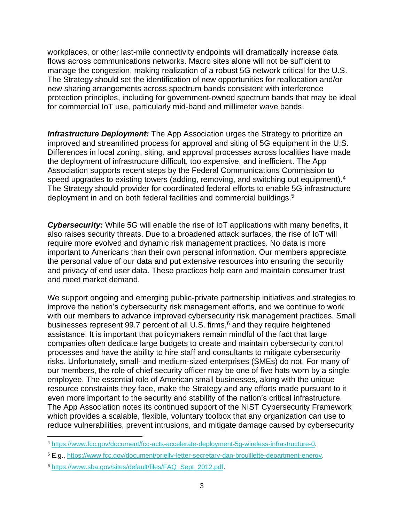workplaces, or other last-mile connectivity endpoints will dramatically increase data flows across communications networks. Macro sites alone will not be sufficient to manage the congestion, making realization of a robust 5G network critical for the U.S. The Strategy should set the identification of new opportunities for reallocation and/or new sharing arrangements across spectrum bands consistent with interference protection principles, including for government-owned spectrum bands that may be ideal for commercial IoT use, particularly mid-band and millimeter wave bands.

*Infrastructure Deployment:* The App Association urges the Strategy to prioritize an improved and streamlined process for approval and siting of 5G equipment in the U.S. Differences in local zoning, siting, and approval processes across localities have made the deployment of infrastructure difficult, too expensive, and inefficient. The App Association supports recent steps by the Federal Communications Commission to speed upgrades to existing towers (adding, removing, and switching out equipment).<sup>4</sup> The Strategy should provider for coordinated federal efforts to enable 5G infrastructure deployment in and on both federal facilities and commercial buildings.<sup>5</sup>

*Cybersecurity:* While 5G will enable the rise of IoT applications with many benefits, it also raises security threats. Due to a broadened attack surfaces, the rise of IoT will require more evolved and dynamic risk management practices. No data is more important to Americans than their own personal information. Our members appreciate the personal value of our data and put extensive resources into ensuring the security and privacy of end user data. These practices help earn and maintain consumer trust and meet market demand.

We support ongoing and emerging public-private partnership initiatives and strategies to improve the nation's cybersecurity risk management efforts, and we continue to work with our members to advance improved cybersecurity risk management practices. Small businesses represent 99.7 percent of all U.S. firms, $6$  and they require heightened assistance. It is important that policymakers remain mindful of the fact that large companies often dedicate large budgets to create and maintain cybersecurity control processes and have the ability to hire staff and consultants to mitigate cybersecurity risks. Unfortunately, small- and medium-sized enterprises (SMEs) do not. For many of our members, the role of chief security officer may be one of five hats worn by a single employee. The essential role of American small businesses, along with the unique resource constraints they face, make the Strategy and any efforts made pursuant to it even more important to the security and stability of the nation's critical infrastructure. The App Association notes its continued support of the NIST Cybersecurity Framework which provides a scalable, flexible, voluntary toolbox that any organization can use to reduce vulnerabilities, prevent intrusions, and mitigate damage caused by cybersecurity

<sup>4</sup> [https://www.fcc.gov/document/fcc-acts-accelerate-deployment-5g-wireless-infrastructure-0.](https://www.fcc.gov/document/fcc-acts-accelerate-deployment-5g-wireless-infrastructure-0)

<sup>5</sup> E.g., [https://www.fcc.gov/document/orielly-letter-secretary-dan-brouillette-department-energy.](https://www.fcc.gov/document/orielly-letter-secretary-dan-brouillette-department-energy)

<sup>6</sup> [https://www.sba.gov/sites/default/files/FAQ\\_Sept\\_2012.pdf.](https://www.sba.gov/sites/default/files/FAQ_Sept_2012.pdf)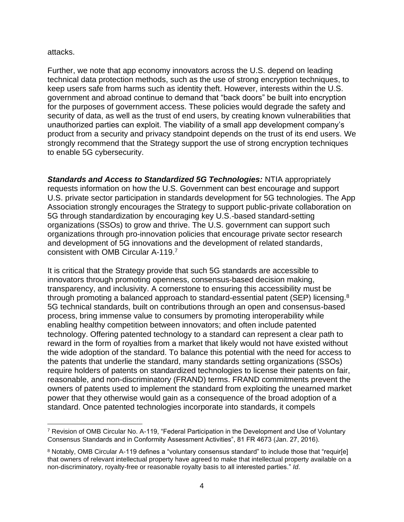## attacks.

Further, we note that app economy innovators across the U.S. depend on leading technical data protection methods, such as the use of strong encryption techniques, to keep users safe from harms such as identity theft. However, interests within the U.S. government and abroad continue to demand that "back doors" be built into encryption for the purposes of government access. These policies would degrade the safety and security of data, as well as the trust of end users, by creating known vulnerabilities that unauthorized parties can exploit. The viability of a small app development company's product from a security and privacy standpoint depends on the trust of its end users. We strongly recommend that the Strategy support the use of strong encryption techniques to enable 5G cybersecurity.

*Standards and Access to Standardized 5G Technologies:* NTIA appropriately requests information on how the U.S. Government can best encourage and support U.S. private sector participation in standards development for 5G technologies. The App Association strongly encourages the Strategy to support public-private collaboration on 5G through standardization by encouraging key U.S.-based standard-setting organizations (SSOs) to grow and thrive. The U.S. government can support such organizations through pro-innovation policies that encourage private sector research and development of 5G innovations and the development of related standards, consistent with OMB Circular A-119. 7

It is critical that the Strategy provide that such 5G standards are accessible to innovators through promoting openness, consensus-based decision making, transparency, and inclusivity. A cornerstone to ensuring this accessibility must be through promoting a balanced approach to standard-essential patent (SEP) licensing.<sup>8</sup> 5G technical standards, built on contributions through an open and consensus-based process, bring immense value to consumers by promoting interoperability while enabling healthy competition between innovators; and often include patented technology. Offering patented technology to a standard can represent a clear path to reward in the form of royalties from a market that likely would not have existed without the wide adoption of the standard. To balance this potential with the need for access to the patents that underlie the standard, many standards setting organizations (SSOs) require holders of patents on standardized technologies to license their patents on fair, reasonable, and non-discriminatory (FRAND) terms. FRAND commitments prevent the owners of patents used to implement the standard from exploiting the unearned market power that they otherwise would gain as a consequence of the broad adoption of a standard. Once patented technologies incorporate into standards, it compels

<sup>7</sup> Revision of OMB Circular No. A-119, "Federal Participation in the Development and Use of Voluntary Consensus Standards and in Conformity Assessment Activities", 81 FR 4673 (Jan. 27, 2016).

<sup>8</sup> Notably, OMB Circular A-119 defines a "voluntary consensus standard" to include those that "requir[e] that owners of relevant intellectual property have agreed to make that intellectual property available on a non-discriminatory, royalty-free or reasonable royalty basis to all interested parties." *Id*.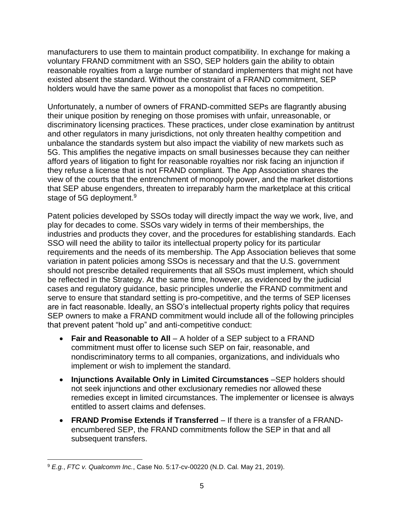manufacturers to use them to maintain product compatibility. In exchange for making a voluntary FRAND commitment with an SSO, SEP holders gain the ability to obtain reasonable royalties from a large number of standard implementers that might not have existed absent the standard. Without the constraint of a FRAND commitment, SEP holders would have the same power as a monopolist that faces no competition.

Unfortunately, a number of owners of FRAND-committed SEPs are flagrantly abusing their unique position by reneging on those promises with unfair, unreasonable, or discriminatory licensing practices. These practices, under close examination by antitrust and other regulators in many jurisdictions, not only threaten healthy competition and unbalance the standards system but also impact the viability of new markets such as 5G. This amplifies the negative impacts on small businesses because they can neither afford years of litigation to fight for reasonable royalties nor risk facing an injunction if they refuse a license that is not FRAND compliant. The App Association shares the view of the courts that the entrenchment of monopoly power, and the market distortions that SEP abuse engenders, threaten to irreparably harm the marketplace at this critical stage of 5G deployment.<sup>9</sup>

Patent policies developed by SSOs today will directly impact the way we work, live, and play for decades to come. SSOs vary widely in terms of their memberships, the industries and products they cover, and the procedures for establishing standards. Each SSO will need the ability to tailor its intellectual property policy for its particular requirements and the needs of its membership. The App Association believes that some variation in patent policies among SSOs is necessary and that the U.S. government should not prescribe detailed requirements that all SSOs must implement, which should be reflected in the Strategy. At the same time, however, as evidenced by the judicial cases and regulatory guidance, basic principles underlie the FRAND commitment and serve to ensure that standard setting is pro-competitive, and the terms of SEP licenses are in fact reasonable. Ideally, an SSO's intellectual property rights policy that requires SEP owners to make a FRAND commitment would include all of the following principles that prevent patent "hold up" and anti-competitive conduct:

- **Fair and Reasonable to All** A holder of a SEP subject to a FRAND commitment must offer to license such SEP on fair, reasonable, and nondiscriminatory terms to all companies, organizations, and individuals who implement or wish to implement the standard.
- **Injunctions Available Only in Limited Circumstances** –SEP holders should not seek injunctions and other exclusionary remedies nor allowed these remedies except in limited circumstances. The implementer or licensee is always entitled to assert claims and defenses.
- **FRAND Promise Extends if Transferred** If there is a transfer of a FRANDencumbered SEP, the FRAND commitments follow the SEP in that and all subsequent transfers.

<sup>9</sup> *E.g.*, *FTC v. Qualcomm Inc.*, Case No. 5:17-cv-00220 (N.D. Cal. May 21, 2019).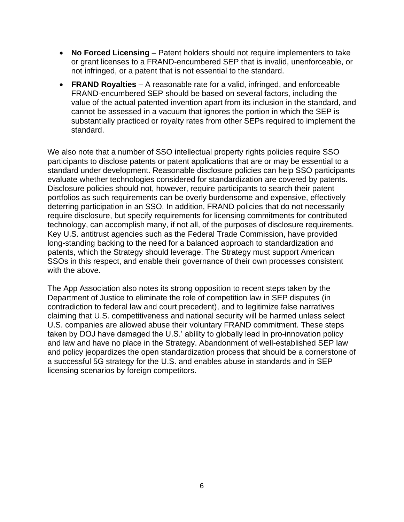- **No Forced Licensing** Patent holders should not require implementers to take or grant licenses to a FRAND-encumbered SEP that is invalid, unenforceable, or not infringed, or a patent that is not essential to the standard.
- **FRAND Royalties** A reasonable rate for a valid, infringed, and enforceable FRAND-encumbered SEP should be based on several factors, including the value of the actual patented invention apart from its inclusion in the standard, and cannot be assessed in a vacuum that ignores the portion in which the SEP is substantially practiced or royalty rates from other SEPs required to implement the standard.

We also note that a number of SSO intellectual property rights policies require SSO participants to disclose patents or patent applications that are or may be essential to a standard under development. Reasonable disclosure policies can help SSO participants evaluate whether technologies considered for standardization are covered by patents. Disclosure policies should not, however, require participants to search their patent portfolios as such requirements can be overly burdensome and expensive, effectively deterring participation in an SSO. In addition, FRAND policies that do not necessarily require disclosure, but specify requirements for licensing commitments for contributed technology, can accomplish many, if not all, of the purposes of disclosure requirements. Key U.S. antitrust agencies such as the Federal Trade Commission, have provided long-standing backing to the need for a balanced approach to standardization and patents, which the Strategy should leverage. The Strategy must support American SSOs in this respect, and enable their governance of their own processes consistent with the above.

The App Association also notes its strong opposition to recent steps taken by the Department of Justice to eliminate the role of competition law in SEP disputes (in contradiction to federal law and court precedent), and to legitimize false narratives claiming that U.S. competitiveness and national security will be harmed unless select U.S. companies are allowed abuse their voluntary FRAND commitment. These steps taken by DOJ have damaged the U.S.' ability to globally lead in pro-innovation policy and law and have no place in the Strategy. Abandonment of well-established SEP law and policy jeopardizes the open standardization process that should be a cornerstone of a successful 5G strategy for the U.S. and enables abuse in standards and in SEP licensing scenarios by foreign competitors.